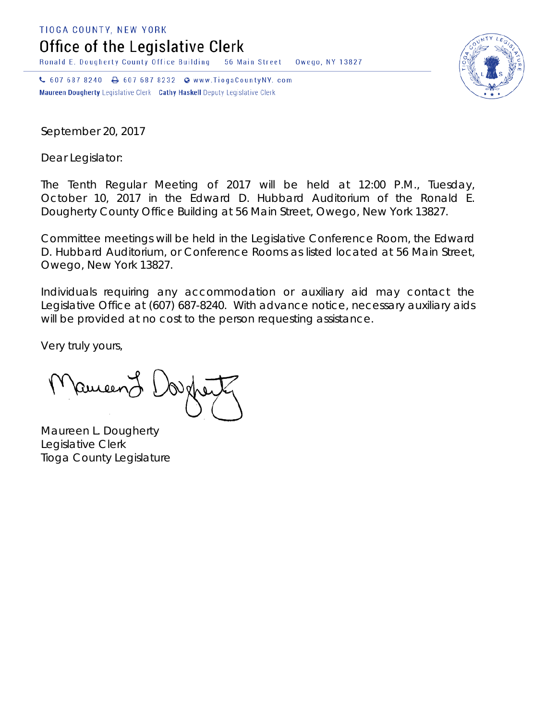TIOGA COUNTY, NEW YORK

Office of the Legislative Clerk

Ronald E. Dougherty County Office Building 56 Main Street Owego, NY 13827

↓ 607 687 8240 → 607 687 8232 → www.TiogaCountyNY.com Maureen Dougherty Legislative Clerk Cathy Haskell Deputy Legislative Clerk

September 20, 2017

Dear Legislator:

The Tenth Regular Meeting of 2017 will be held at 12:00 P.M., Tuesday, October 10, 2017 in the Edward D. Hubbard Auditorium of the Ronald E. Dougherty County Office Building at 56 Main Street, Owego, New York 13827.

Committee meetings will be held in the Legislative Conference Room, the Edward D. Hubbard Auditorium, or Conference Rooms as listed located at 56 Main Street, Owego, New York 13827.

Individuals requiring any accommodation or auxiliary aid may contact the Legislative Office at (607) 687-8240. With advance notice, necessary auxiliary aids will be provided at no cost to the person requesting assistance.

Very truly yours,

Pameen J

Maureen L. Dougherty Legislative Clerk Tioga County Legislature